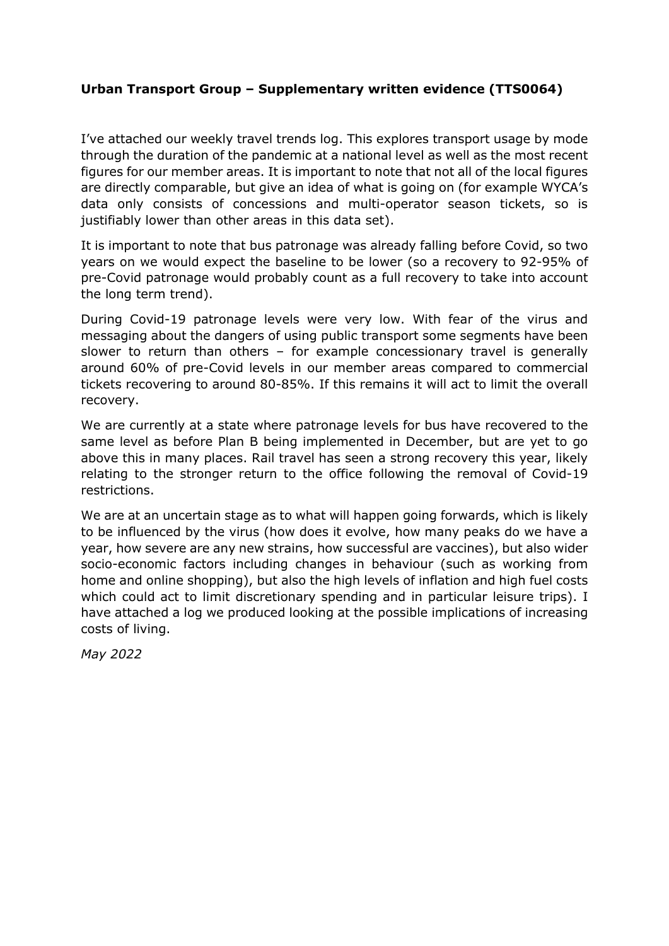#### **Urban Transport Group – Supplementary written evidence (TTS0064)**

I've attached our weekly travel trends log. This explores transport usage by mode through the duration of the pandemic at a national level as well as the most recent figures for our member areas. It is important to note that not all of the local figures are directly comparable, but give an idea of what is going on (for example WYCA's data only consists of concessions and multi-operator season tickets, so is justifiably lower than other areas in this data set).

It is important to note that bus patronage was already falling before Covid, so two years on we would expect the baseline to be lower (so a recovery to 92-95% of pre-Covid patronage would probably count as a full recovery to take into account the long term trend).

During Covid-19 patronage levels were very low. With fear of the virus and messaging about the dangers of using public transport some segments have been slower to return than others – for example concessionary travel is generally around 60% of pre-Covid levels in our member areas compared to commercial tickets recovering to around 80-85%. If this remains it will act to limit the overall recovery.

We are currently at a state where patronage levels for bus have recovered to the same level as before Plan B being implemented in December, but are yet to go above this in many places. Rail travel has seen a strong recovery this year, likely relating to the stronger return to the office following the removal of Covid-19 restrictions.

We are at an uncertain stage as to what will happen going forwards, which is likely to be influenced by the virus (how does it evolve, how many peaks do we have a year, how severe are any new strains, how successful are vaccines), but also wider socio-economic factors including changes in behaviour (such as working from home and online shopping), but also the high levels of inflation and high fuel costs which could act to limit discretionary spending and in particular leisure trips). I have attached a log we produced looking at the possible implications of increasing costs of living.

*May 2022*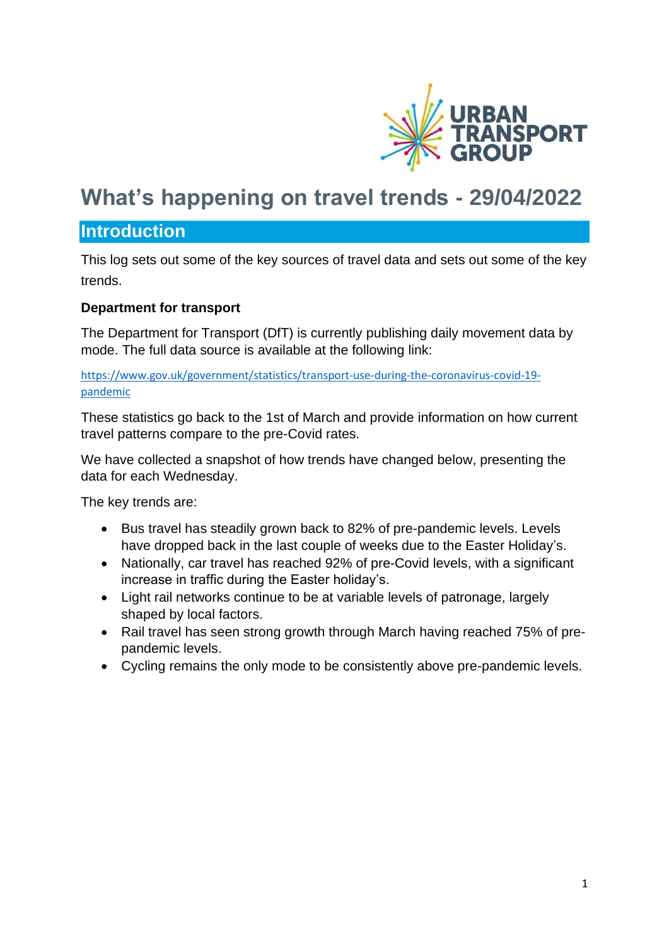

## **What's happening on travel trends - 29/04/2022**

## **Introduction**

This log sets out some of the key sources of travel data and sets out some of the key trends.

## **Department for transport**

The Department for Transport (DfT) is currently publishing daily movement data by mode. The full data source is available at the following link:

[https://www.gov.uk/government/statistics/transport-use-during-the-coronavirus-covid-19](https://www.gov.uk/government/statistics/transport-use-during-the-coronavirus-covid-19-pandemic) [pandemic](https://www.gov.uk/government/statistics/transport-use-during-the-coronavirus-covid-19-pandemic)

These statistics go back to the 1st of March and provide information on how current travel patterns compare to the pre-Covid rates.

We have collected a snapshot of how trends have changed below, presenting the data for each Wednesday.

The key trends are:

- Bus travel has steadily grown back to 82% of pre-pandemic levels. Levels have dropped back in the last couple of weeks due to the Easter Holiday's.
- Nationally, car travel has reached 92% of pre-Covid levels, with a significant increase in traffic during the Easter holiday's.
- Light rail networks continue to be at variable levels of patronage, largely shaped by local factors.
- Rail travel has seen strong growth through March having reached 75% of prepandemic levels.
- Cycling remains the only mode to be consistently above pre-pandemic levels.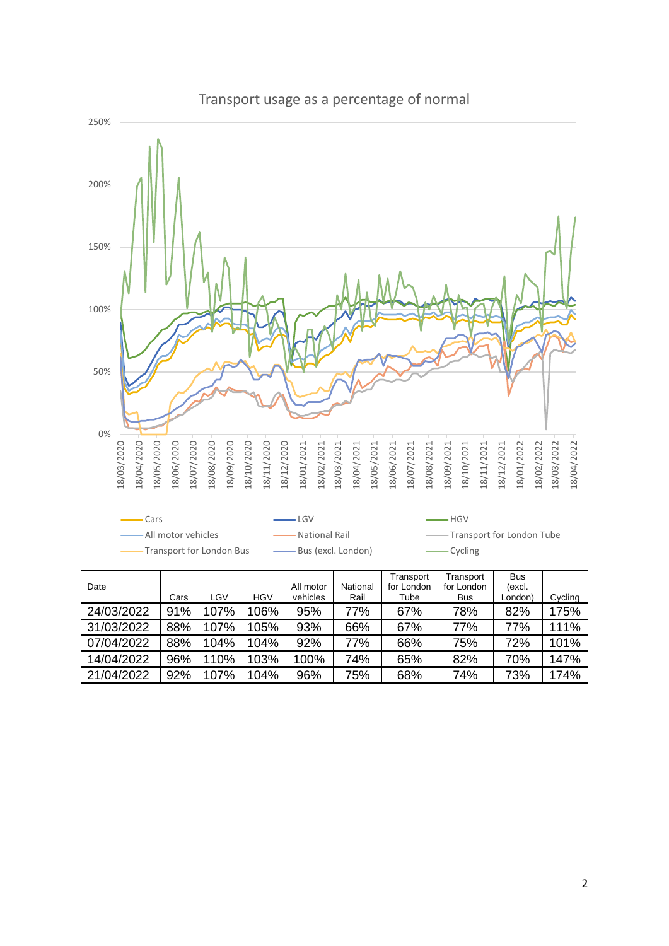

| Date       | Cars | LGV  | <b>HGV</b> | All motor<br>vehicles | National<br>Rail | Transport<br>for London<br>Tube | Transport<br>for London<br><b>Bus</b> | <b>Bus</b><br>(excl.<br>London) | Cycling |
|------------|------|------|------------|-----------------------|------------------|---------------------------------|---------------------------------------|---------------------------------|---------|
| 24/03/2022 | 91%  | 107% | 106%       | 95%                   | 77%              | 67%                             | 78%                                   | 82%                             | 175%    |
| 31/03/2022 | 88%  | 107% | 105%       | 93%                   | 66%              | 67%                             | 77%                                   | 77%                             | 111%    |
| 07/04/2022 | 88%  | 104% | 104%       | 92%                   | 77%              | 66%                             | 75%                                   | 72%                             | 101%    |
| 14/04/2022 | 96%  | 110% | 103%       | 100%                  | 74%              | 65%                             | 82%                                   | 70%                             | 147%    |
| 21/04/2022 | 92%  | 107% | 104%       | 96%                   | 75%              | 68%                             | 74%                                   | 73%                             | 174%    |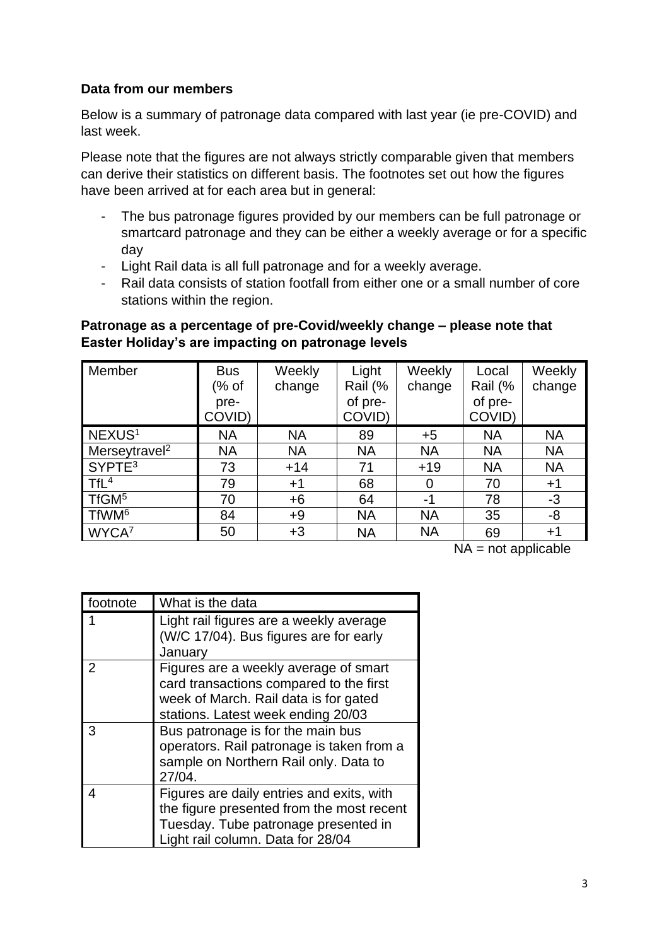#### **Data from our members**

Below is a summary of patronage data compared with last year (ie pre-COVID) and last week.

Please note that the figures are not always strictly comparable given that members can derive their statistics on different basis. The footnotes set out how the figures have been arrived at for each area but in general:

- The bus patronage figures provided by our members can be full patronage or smartcard patronage and they can be either a weekly average or for a specific day
- Light Rail data is all full patronage and for a weekly average.
- Rail data consists of station footfall from either one or a small number of core stations within the region.

#### **Patronage as a percentage of pre-Covid/weekly change – please note that Easter Holiday's are impacting on patronage levels**

| Member                    | <b>Bus</b> | Weekly    | Light     | Weekly    | Local     | Weekly    |
|---------------------------|------------|-----------|-----------|-----------|-----------|-----------|
|                           | (% of      | change    | Rail (%   | change    | Rail (%   | change    |
|                           | pre-       |           | of pre-   |           | of pre-   |           |
|                           | COVID)     |           | COVID)    |           | COVID)    |           |
| NEXUS <sup>1</sup>        | <b>NA</b>  | <b>NA</b> | 89        | $+5$      | <b>NA</b> | <b>NA</b> |
| Merseytravel <sup>2</sup> | <b>NA</b>  | <b>NA</b> | <b>NA</b> | <b>NA</b> | <b>NA</b> | <b>NA</b> |
| SYPTE <sup>3</sup>        | 73         | $+14$     | 71        | $+19$     | <b>NA</b> | <b>NA</b> |
| TfL <sup>4</sup>          | 79         | $+1$      | 68        | 0         | 70        | $+1$      |
| TfGM <sup>5</sup>         | 70         | $+6$      | 64        | -1        | 78        | $-3$      |
| TfWM <sup>6</sup>         | 84         | $+9$      | <b>NA</b> | <b>NA</b> | 35        | -8        |
| WYCA7                     | 50         | $+3$      | <b>NA</b> | <b>NA</b> | 69        | $+1$      |

 $NA = not applicable$ 

| footnote | What is the data                                                                                                                                                    |
|----------|---------------------------------------------------------------------------------------------------------------------------------------------------------------------|
|          | Light rail figures are a weekly average<br>(W/C 17/04). Bus figures are for early<br>January                                                                        |
| 2        | Figures are a weekly average of smart<br>card transactions compared to the first<br>week of March. Rail data is for gated<br>stations. Latest week ending 20/03     |
| 3        | Bus patronage is for the main bus<br>operators. Rail patronage is taken from a<br>sample on Northern Rail only. Data to<br>27/04.                                   |
| 4        | Figures are daily entries and exits, with<br>the figure presented from the most recent<br>Tuesday. Tube patronage presented in<br>Light rail column. Data for 28/04 |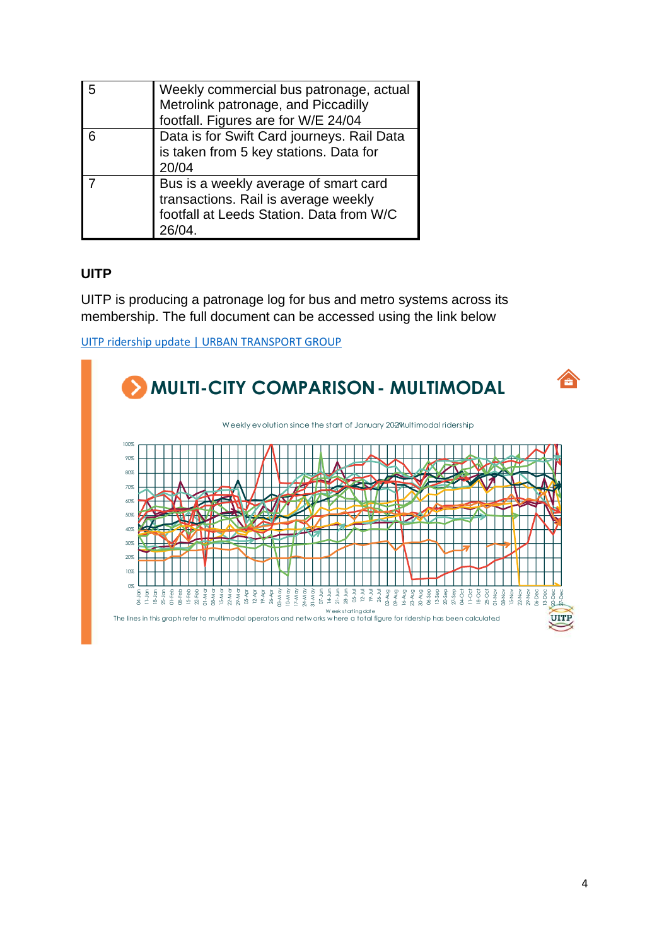| l 5 | Weekly commercial bus patronage, actual<br>Metrolink patronage, and Piccadilly<br>footfall. Figures are for W/E 24/04     |
|-----|---------------------------------------------------------------------------------------------------------------------------|
| l 6 | Data is for Swift Card journeys. Rail Data<br>is taken from 5 key stations. Data for<br>20/04                             |
|     | Bus is a weekly average of smart card<br>transactions. Rail is average weekly<br>footfall at Leeds Station. Data from W/C |

## **UITP**

UITP is producing a patronage log for bus and metro systems across its membership. The full document can be accessed using the link below

[UITP ridership update | URBAN TRANSPORT GROUP](https://www.urbantransportgroup.org/resources/types/documents/uitp-ridership-update)

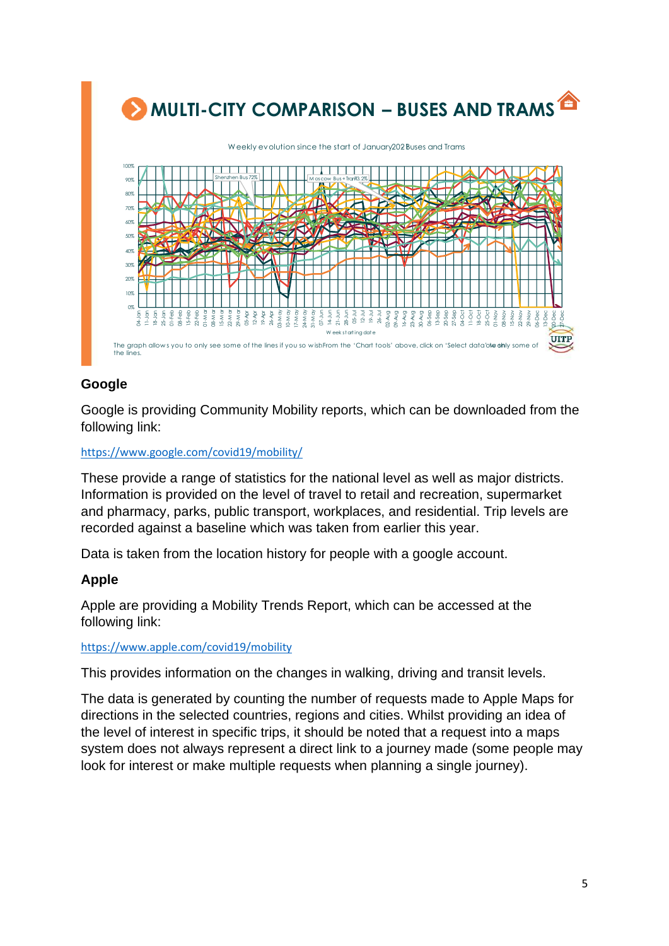

## **Google**

Google is providing Community Mobility reports, which can be downloaded from the following link:

#### <https://www.google.com/covid19/mobility/>

These provide a range of statistics for the national level as well as major districts. Information is provided on the level of travel to retail and recreation, supermarket and pharmacy, parks, public transport, workplaces, and residential. Trip levels are recorded against a baseline which was taken from earlier this year.

Data is taken from the location history for people with a google account.

## **Apple**

Apple are providing a Mobility Trends Report, which can be accessed at the following link:

#### <https://www.apple.com/covid19/mobility>

This provides information on the changes in walking, driving and transit levels.

The data is generated by counting the number of requests made to Apple Maps for directions in the selected countries, regions and cities. Whilst providing an idea of the level of interest in specific trips, it should be noted that a request into a maps system does not always represent a direct link to a journey made (some people may look for interest or make multiple requests when planning a single journey).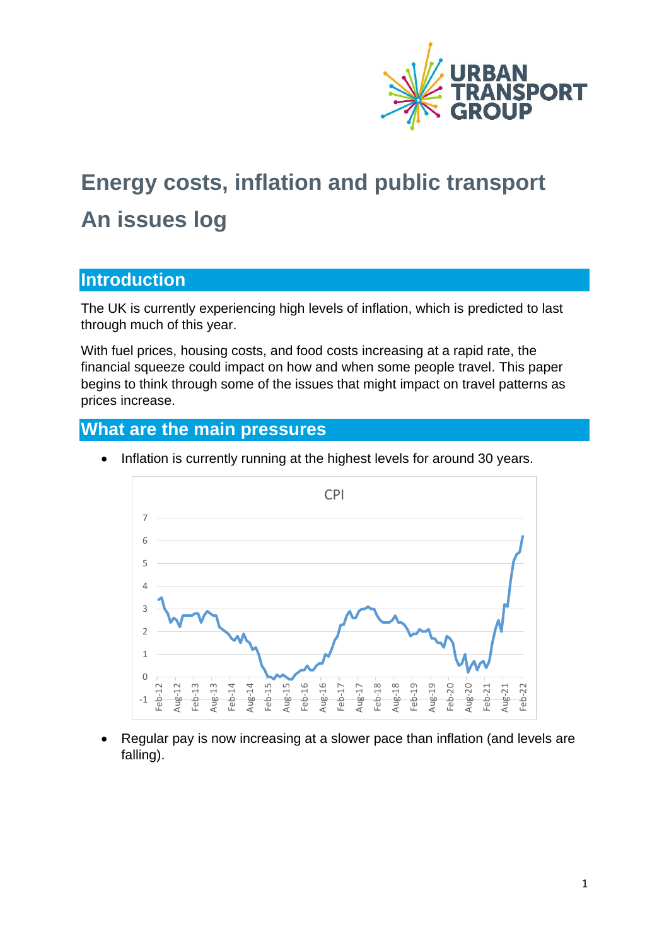

# **Energy costs, inflation and public transport An issues log**

## **Introduction**

The UK is currently experiencing high levels of inflation, which is predicted to last through much of this year.

With fuel prices, housing costs, and food costs increasing at a rapid rate, the financial squeeze could impact on how and when some people travel. This paper begins to think through some of the issues that might impact on travel patterns as prices increase.

## **What are the main pressures**



• Inflation is currently running at the highest levels for around 30 years.

• Regular pay is now increasing at a slower pace than inflation (and levels are falling).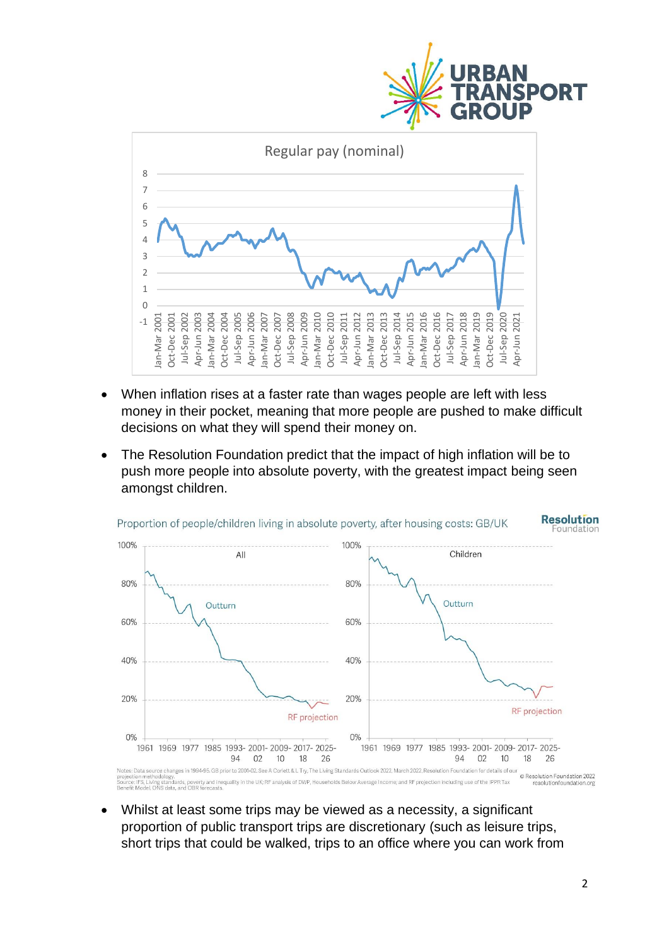



- When inflation rises at a faster rate than wages people are left with less money in their pocket, meaning that more people are pushed to make difficult decisions on what they will spend their money on.
- The Resolution Foundation predict that the impact of high inflation will be to push more people into absolute poverty, with the greatest impact being seen amongst children.



Whilst at least some trips may be viewed as a necessity, a significant proportion of public transport trips are discretionary (such as leisure trips, short trips that could be walked, trips to an office where you can work from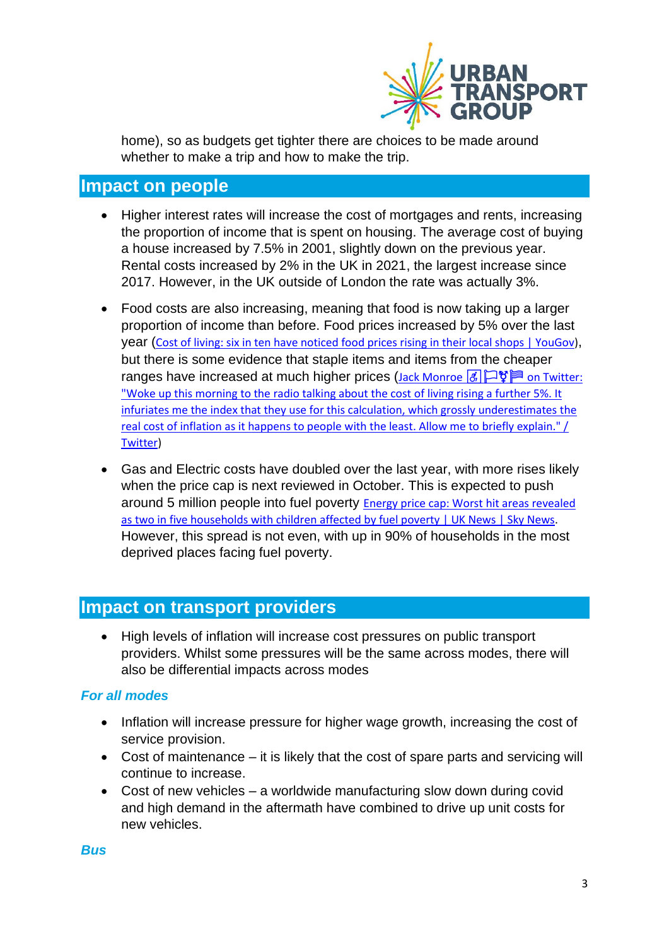

home), so as budgets get tighter there are choices to be made around whether to make a trip and how to make the trip.

## **Impact on people**

- Higher interest rates will increase the cost of mortgages and rents, increasing the proportion of income that is spent on housing. The average cost of buying a house increased by 7.5% in 2001, slightly down on the previous year. Rental costs increased by 2% in the UK in 2021, the largest increase since 2017. However, in the UK outside of London the rate was actually 3%.
- Food costs are also increasing, meaning that food is now taking up a larger proportion of income than before. Food prices increased by 5% over the last year ([Cost of living: six in ten have noticed food prices rising in their local shops | YouGov\)](https://yougov.co.uk/topics/economy/articles-reports/2022/02/22/cost-living-six-ten-have-noticed-food-prices-risin), but there is some evidence that staple items and items from the cheaper ranges have increased at much higher prices ([Jack Monroe](https://twitter.com/BootstrapCook/status/1483778776697909252)  $\boxed{6}$   $\Box$ ["Woke up this morning to the radio talking about the cost](https://twitter.com/BootstrapCook/status/1483778776697909252) of living rising a further 5%. It [infuriates me the index that they use for this calculation, which grossly underestimates the](https://twitter.com/BootstrapCook/status/1483778776697909252)  [real cost of inflation as it happens to people with the least. Allow me to briefly explain." /](https://twitter.com/BootstrapCook/status/1483778776697909252)  [Twitter\)](https://twitter.com/BootstrapCook/status/1483778776697909252)
- Gas and Electric costs have doubled over the last year, with more rises likely when the price cap is next reviewed in October. This is expected to push around 5 million people into fuel poverty [Energy price cap: Worst hit areas revealed](https://news.sky.com/story/energy-price-cap-worst-hit-areas-revealed-as-two-in-five-households-affected-by-fuel-poverty-12569195)  [as two in five households with children affected by fuel poverty | UK News | Sky News.](https://news.sky.com/story/energy-price-cap-worst-hit-areas-revealed-as-two-in-five-households-affected-by-fuel-poverty-12569195) However, this spread is not even, with up in 90% of households in the most deprived places facing fuel poverty.

## **Impact on transport providers**

• High levels of inflation will increase cost pressures on public transport providers. Whilst some pressures will be the same across modes, there will also be differential impacts across modes

## *For all modes*

- Inflation will increase pressure for higher wage growth, increasing the cost of service provision.
- Cost of maintenance it is likely that the cost of spare parts and servicing will continue to increase.
- Cost of new vehicles a worldwide manufacturing slow down during covid and high demand in the aftermath have combined to drive up unit costs for new vehicles.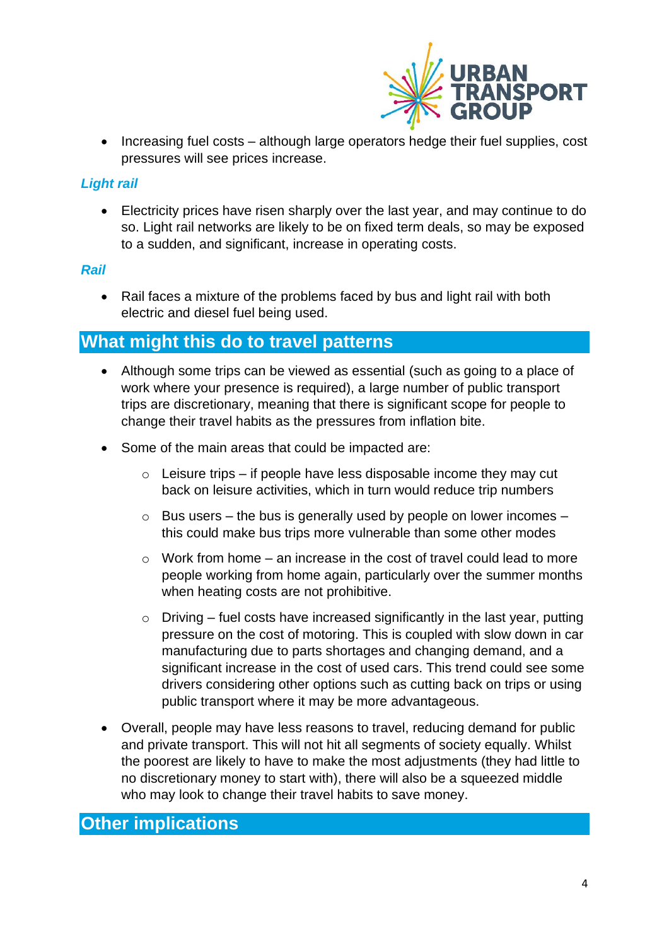

• Increasing fuel costs – although large operators hedge their fuel supplies, cost pressures will see prices increase.

#### *Light rail*

• Electricity prices have risen sharply over the last year, and may continue to do so. Light rail networks are likely to be on fixed term deals, so may be exposed to a sudden, and significant, increase in operating costs.

#### *Rail*

• Rail faces a mixture of the problems faced by bus and light rail with both electric and diesel fuel being used.

## **What might this do to travel patterns**

- Although some trips can be viewed as essential (such as going to a place of work where your presence is required), a large number of public transport trips are discretionary, meaning that there is significant scope for people to change their travel habits as the pressures from inflation bite.
- Some of the main areas that could be impacted are:
	- $\circ$  Leisure trips if people have less disposable income they may cut back on leisure activities, which in turn would reduce trip numbers
	- $\circ$  Bus users the bus is generally used by people on lower incomes this could make bus trips more vulnerable than some other modes
	- $\circ$  Work from home an increase in the cost of travel could lead to more people working from home again, particularly over the summer months when heating costs are not prohibitive.
	- $\circ$  Driving fuel costs have increased significantly in the last year, putting pressure on the cost of motoring. This is coupled with slow down in car manufacturing due to parts shortages and changing demand, and a significant increase in the cost of used cars. This trend could see some drivers considering other options such as cutting back on trips or using public transport where it may be more advantageous.
- Overall, people may have less reasons to travel, reducing demand for public and private transport. This will not hit all segments of society equally. Whilst the poorest are likely to have to make the most adjustments (they had little to no discretionary money to start with), there will also be a squeezed middle who may look to change their travel habits to save money.

## **Other implications**